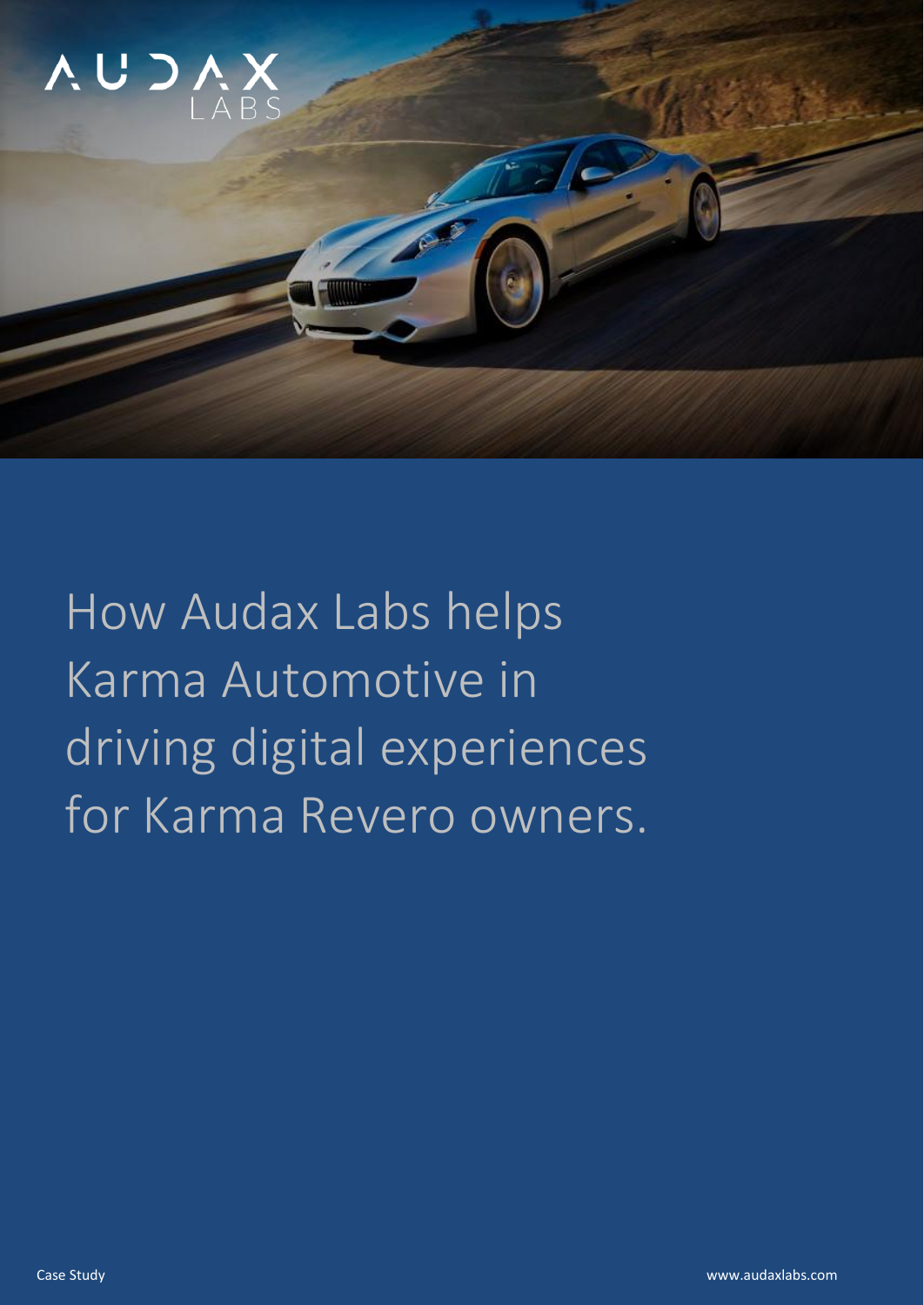

How Audax Labs helps Karma Automotive in driving digital experiences for Karma Revero owners.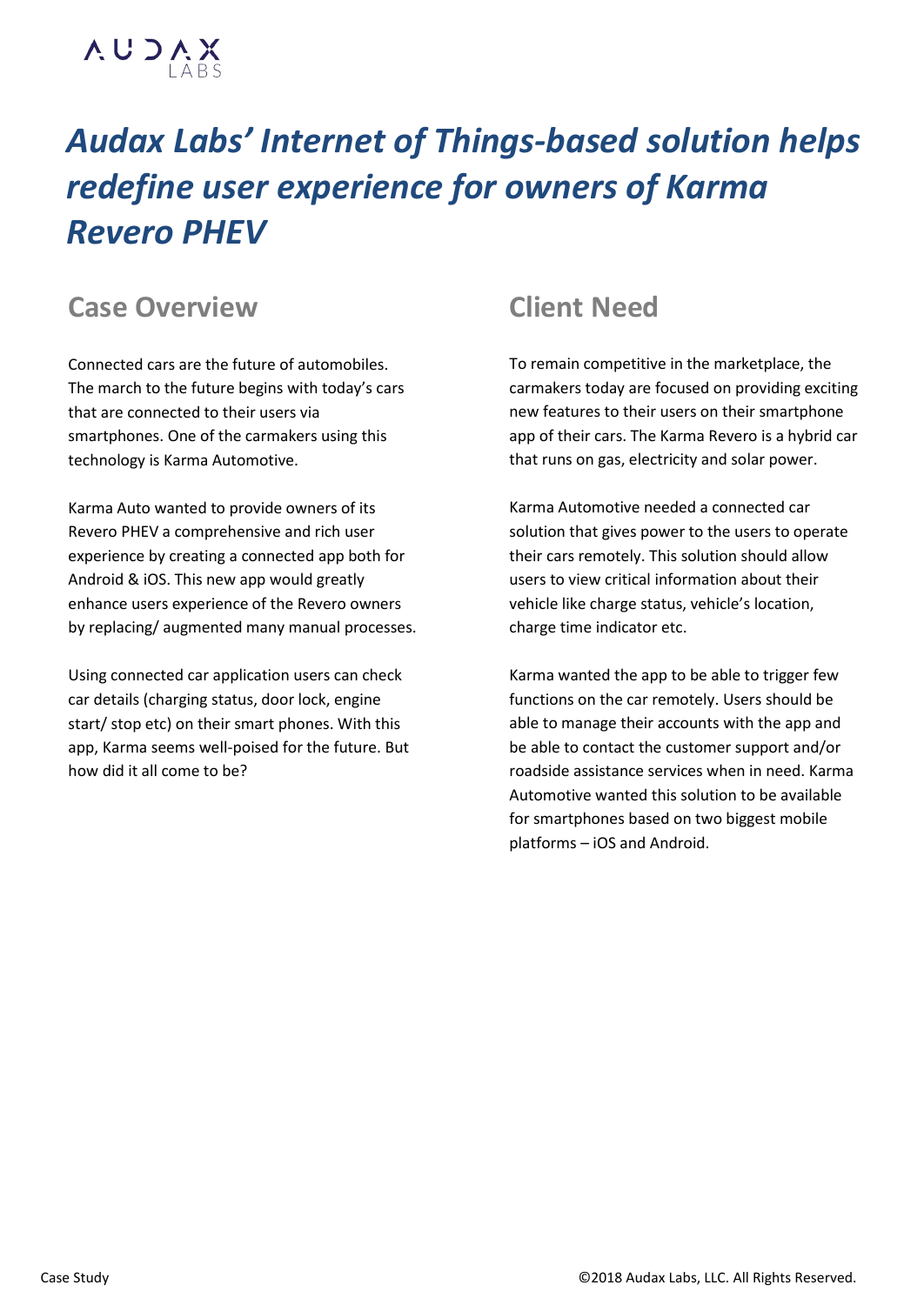

# *Audax Labs' Internet of Things-based solution helps redefine user experience for owners of Karma Revero PHEV*

## **Case Overview**

Connected cars are the future of automobiles. The march to the future begins with today's cars that are connected to their users via smartphones. One of the carmakers using this technology is Karma Automotive.

Karma Auto wanted to provide owners of its Revero PHEV a comprehensive and rich user experience by creating a connected app both for Android & iOS. This new app would greatly enhance users experience of the Revero owners by replacing/ augmented many manual processes.

Using connected car application users can check car details (charging status, door lock, engine start/ stop etc) on their smart phones. With this app, Karma seems well-poised for the future. But how did it all come to be?

### **Client Need**

To remain competitive in the marketplace, the carmakers today are focused on providing exciting new features to their users on their smartphone app of their cars. The Karma Revero is a hybrid car that runs on gas, electricity and solar power.

Karma Automotive needed a connected car solution that gives power to the users to operate their cars remotely. This solution should allow users to view critical information about their vehicle like charge status, vehicle's location, charge time indicator etc.

Karma wanted the app to be able to trigger few functions on the car remotely. Users should be able to manage their accounts with the app and be able to contact the customer support and/or roadside assistance services when in need. Karma Automotive wanted this solution to be available for smartphones based on two biggest mobile platforms – iOS and Android.